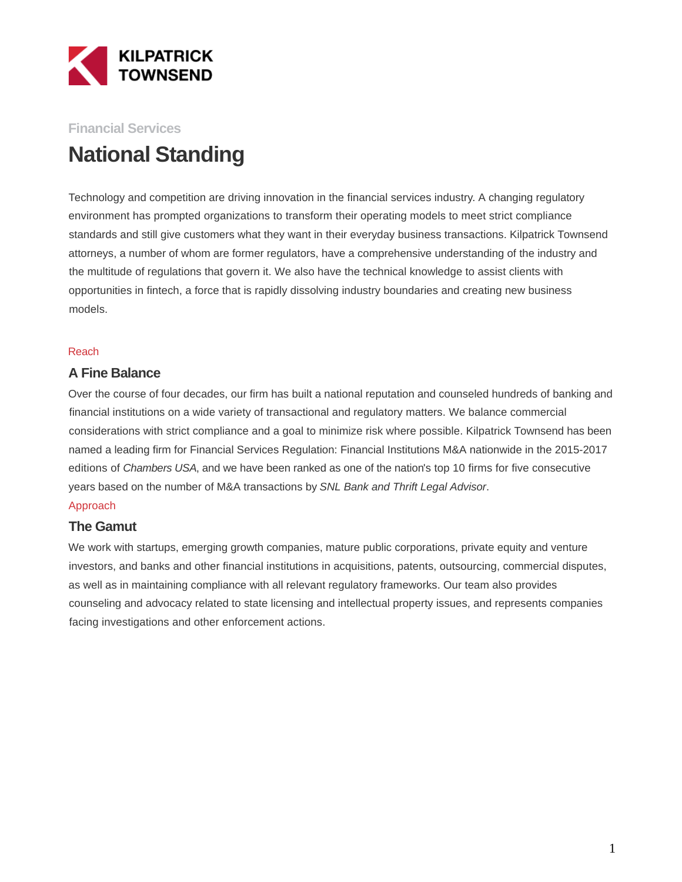

## **Financial Services**

# **National Standing**

Technology and competition are driving innovation in the financial services industry. A changing regulatory environment has prompted organizations to transform their operating models to meet strict compliance standards and still give customers what they want in their everyday business transactions. Kilpatrick Townsend attorneys, a number of whom are former regulators, have a comprehensive understanding of the industry and the multitude of regulations that govern it. We also have the technical knowledge to assist clients with opportunities in fintech, a force that is rapidly dissolving industry boundaries and creating new business models.

#### Reach

#### **A Fine Balance**

Over the course of four decades, our firm has built a national reputation and counseled hundreds of banking and financial institutions on a wide variety of transactional and regulatory matters. We balance commercial considerations with strict compliance and a goal to minimize risk where possible. Kilpatrick Townsend has been named a leading firm for Financial Services Regulation: Financial Institutions M&A nationwide in the 2015-2017 editions of Chambers USA, and we have been ranked as one of the nation's top 10 firms for five consecutive years based on the number of M&A transactions by SNL Bank and Thrift Legal Advisor.

#### Approach

#### **The Gamut**

We work with startups, emerging growth companies, mature public corporations, private equity and venture investors, and banks and other financial institutions in acquisitions, patents, outsourcing, commercial disputes, as well as in maintaining compliance with all relevant regulatory frameworks. Our team also provides counseling and advocacy related to state licensing and intellectual property issues, and represents companies facing investigations and other enforcement actions.